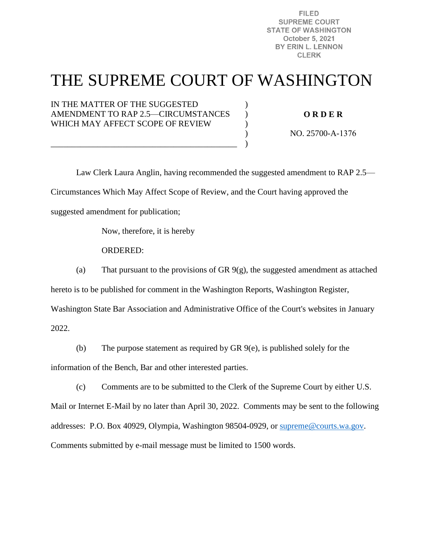**FILED SUPREME COURT STATE OF WASHINGTON** October 5, 2021 BY ERIN L. LENNON **CLERK** 

# THE SUPREME COURT OF WASHINGTON

 $\mathcal{L}$  $\lambda$ )  $\mathcal{L}$ )

IN THE MATTER OF THE SUGGESTED AMENDMENT TO RAP 2.5—CIRCUMSTANCES WHICH MAY AFFECT SCOPE OF REVIEW

\_\_\_\_\_\_\_\_\_\_\_\_\_\_\_\_\_\_\_\_\_\_\_\_\_\_\_\_\_\_\_\_\_\_\_\_\_\_\_\_\_\_\_\_

**O R D E R** 

NO. 25700-A-1376

 Law Clerk Laura Anglin, having recommended the suggested amendment to RAP 2.5— Circumstances Which May Affect Scope of Review, and the Court having approved the suggested amendment for publication;

Now, therefore, it is hereby

ORDERED:

(a) That pursuant to the provisions of GR  $9(g)$ , the suggested amendment as attached

hereto is to be published for comment in the Washington Reports, Washington Register,

Washington State Bar Association and Administrative Office of the Court's websites in January

2022.

(b) The purpose statement as required by GR 9(e), is published solely for the information of the Bench, Bar and other interested parties.

(c) Comments are to be submitted to the Clerk of the Supreme Court by either U.S. Mail or Internet E-Mail by no later than April 30, 2022. Comments may be sent to the following addresses: P.O. Box 40929, Olympia, Washington 98504-0929, or [supreme@courts.wa.gov.](mailto:supreme@courts.wa.gov) Comments submitted by e-mail message must be limited to 1500 words.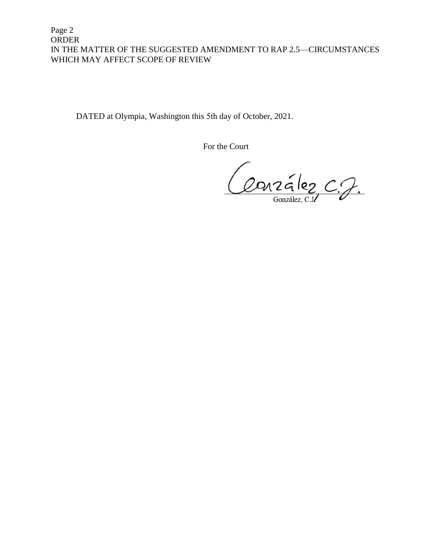Page 2 ORDER IN THE MATTER OF THE SUGGESTED AMENDMENT TO RAP 2.5—CIRCUMSTANCES WHICH MAY AFFECT SCOPE OF REVIEW

DATED at Olympia, Washington this 5th day of October, 2021.

For the Court

Conzález C.J.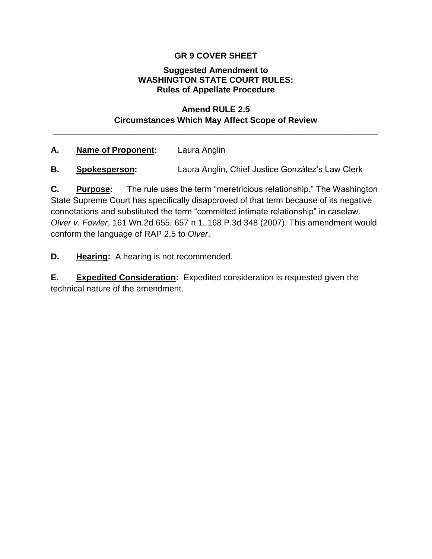## **GR 9 COVER SHEET**

#### **Suggested Amendment to WASHINGTON STATE COURT RULES: Rules of Appellate Procedure**

### **Amend RULE 2.5 Circumstances Which May Affect Scope of Review**

**\_\_\_\_\_\_\_\_\_\_\_\_\_\_\_\_\_\_\_\_\_\_\_\_\_\_\_\_\_\_\_\_\_\_\_\_\_\_\_\_\_\_\_\_\_\_\_\_\_\_\_\_\_\_\_\_\_\_\_\_\_\_\_\_\_\_\_\_\_**

#### **A. Name of Proponent:** Laura Anglin

**B. Spokesperson:** Laura Anglin, Chief Justice González's Law Clerk

**C. Purpose:** The rule uses the term "meretricious relationship." The Washington State Supreme Court has specifically disapproved of that term because of its negative connotations and substituted the term "committed intimate relationship" in caselaw. *Olver v. Fowler*, 161 Wn.2d 655, 657 n.1, 168 P.3d 348 (2007). This amendment would conform the language of RAP 2.5 to *Olver*.

**D. Hearing:** A hearing is not recommended.

**E. Expedited Consideration:** Expedited consideration is requested given the technical nature of the amendment.